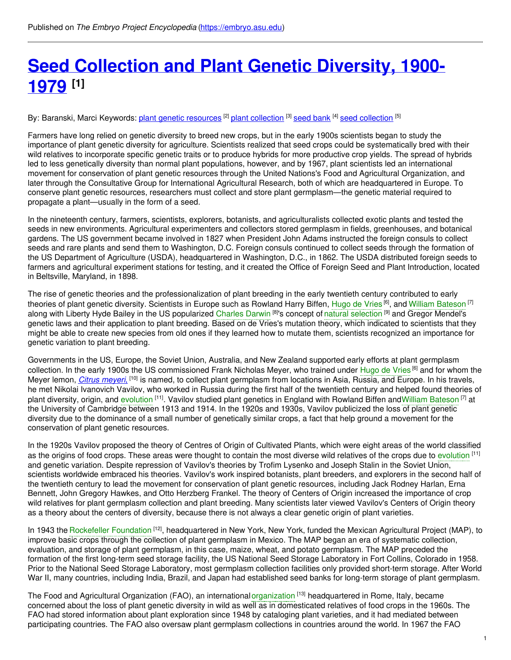# **Seed [Collection](https://embryo.asu.edu/pages/seed-collection-and-plant-genetic-diversity-1900-1979) and Plant Genetic Diversity, 1900- 1979 [1]**

By: Baranski, Marci Keywords: <u>plant genetic [resources](https://embryo.asu.edu/keywords/plant-genetic-resources)</u> <sup>[2]</sup> <u>plant [collection](https://embryo.asu.edu/keywords/seed-collection)</u> <sup>[3]</sup> <u>[seed](https://embryo.asu.edu/keywords/seed-bank) bank</u> <sup>[4]</sup> seed collection <sup>[5]</sup>

Farmers have long relied on genetic diversity to breed new crops, but in the early 1900s scientists began to study the importance of plant genetic diversity for agriculture. Scientists realized that seed crops could be systematically bred with their wild relatives to incorporate specific genetic traits or to produce hybrids for more productive crop yields. The spread of hybrids led to less genetically diversity than normal plant populations, however, and by 1967, plant scientists led an international movement for conservation of plant genetic resources through the United Nations's Food and Agricultural Organization, and later through the Consultative Group for International Agricultural Research, both of which are headquartered in Europe. To conserve plant genetic resources, researchers must collect and store plant germplasm—the genetic material required to propagate a plant—usually in the form of a seed.

In the nineteenth century, farmers, scientists, explorers, botanists, and agriculturalists collected exotic plants and tested the seeds in new environments. Agricultural experimenters and collectors stored germplasm in fields, greenhouses, and botanical gardens. The US government became involved in 1827 when President John Adams instructed the foreign consuls to collect seeds and rare plants and send them to Washington, D.C. Foreign consuls continued to collect seeds through the formation of the US Department of Agriculture (USDA), headquartered in Washington, D.C., in 1862. The USDA distributed foreign seeds to farmers and agricultural experiment stations for testing, and it created the Office of Foreign Seed and Plant Introduction, located in Beltsville, Maryland, in 1898.

The rise of genetic theories and the professionalization of plant breeding in the early twentieth century contributed to early theories of plant genetic diversity. Scientists in Europe such as Rowland Harry Biffen, [Hugo](https://embryo.asu.edu/search?text=Hugo%20de%20Vries) de Vries <sup>[6]</sup>, and William [Bateson](https://embryo.asu.edu/search?text=William%20Bateson) <sup>[7]</sup> along with Liberty Hyde Bailey in the US popularized [Charles](https://embryo.asu.edu/search?text=Charles%20Darwin) Darwin <sup>[8]</sup>'s concept of natural [selection](https://embryo.asu.edu/search?text=natural%20selection) <sup>[9]</sup> and Gregor Mendel's genetic laws and their application to plant breeding. Based on de Vries's mutation theory, which indicated to scientists that they might be able to create new species from old ones if they learned how to mutate them, scientists recognized an importance for genetic variation to plant breeding.

Governments in the US, Europe, the Soviet Union, Australia, and New Zealand supported early efforts at plant germplasm collection. In the early 1900s the US commissioned Frank Nicholas Meyer, who trained under [Hugo](https://embryo.asu.edu/search?text=Hugo%20de%20Vries) de Vries<sup> [6]</sup> and for whom the Meyer lemon, *Citrus [meyeri](http://eol.org/pages/5619814/overview)*. <sup>[10]</sup> is named, to collect plant germplasm from locations in Asia, Russia, and Europe. In his travels, he met Nikolai Ivanovich Vavilov, who worked in Russia during the first half of the twentieth century and helped found theories of plant diversity, origin, and [evolution](https://embryo.asu.edu/search?text=evolution) [11]. Vavilov studied plant genetics in England with Rowland Biffen andWilliam [Bateson](https://embryo.asu.edu/search?text=William%20Bateson) [7] at the University of Cambridge between 1913 and 1914. In the 1920s and 1930s, Vavilov publicized the loss of plant genetic diversity due to the dominance of a small number of genetically similar crops, a fact that help ground a movement for the conservation of plant genetic resources.

In the 1920s Vavilov proposed the theory of Centres of Origin of Cultivated Plants, which were eight areas of the world classified as the origins of food crops. These areas were thought to contain the most diverse wild relatives of the crops due to [evolution](https://embryo.asu.edu/search?text=evolution) [11] and genetic variation. Despite repression of Vavilov's theories by Trofim Lysenko and Joseph Stalin in the Soviet Union, scientists worldwide embraced his theories. Vavilov's work inspired botanists, plant breeders, and explorers in the second half of the twentieth century to lead the movement for conservation of plant genetic resources, including Jack Rodney Harlan, Erna Bennett, John Gregory Hawkes, and Otto Herzberg Frankel. The theory of Centers of Origin increased the importance of crop wild relatives for plant germplasm collection and plant breeding. Many scientists later viewed Vavilov's Centers of Origin theory as a theory about the centers of diversity, because there is not always a clear genetic origin of plant varieties.

In 1943 the [Rockefeller](https://embryo.asu.edu/search?text=Rockefeller%20Foundation) Foundation <sup>[12]</sup>, headquartered in New York, New York, funded the Mexican Agricultural Project (MAP), to improve basic crops through the collection of plant germplasm in Mexico. The MAP began an era of systematic collection, evaluation, and storage of plant germplasm, in this case, maize, wheat, and potato germplasm. The MAP preceded the formation of the first long-term seed storage facility, the US National Seed Storage Laboratory in Fort Collins, Colorado in 1958. Prior to the National Seed Storage Laboratory, most germplasm collection facilities only provided short-term storage. After World War II, many countries, including India, Brazil, and Japan had established seed banks for long-term storage of plant germplasm.

The Food and Agricultural Organization (FAO), an international [organization](https://embryo.asu.edu/search?text=organization) <sup>[13]</sup> headquartered in Rome, Italy, became concerned about the loss of plant genetic diversity in wild as well as in domesticated relatives of food crops in the 1960s. The FAO had stored information about plant exploration since 1948 by cataloging plant varieties, and it had mediated between participating countries. The FAO also oversaw plant germplasm collections in countries around the world. In 1967 the FAO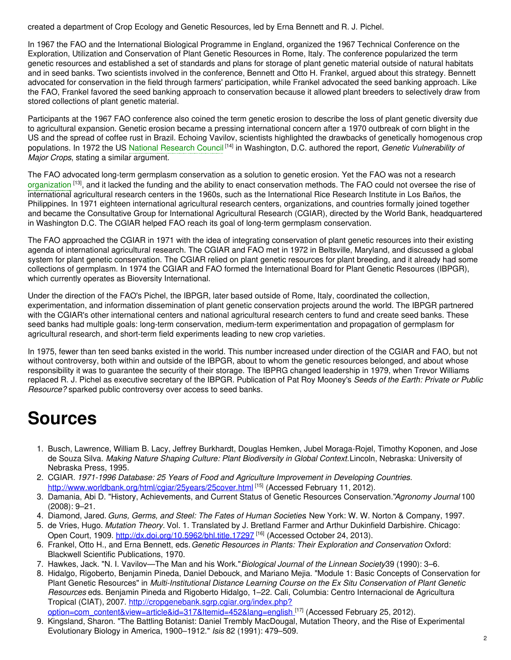created a department of Crop Ecology and Genetic Resources, led by Erna Bennett and R. J. Pichel.

In 1967 the FAO and the International Biological Programme in England, organized the 1967 Technical Conference on the Exploration, Utilization and Conservation of Plant Genetic Resources in Rome, Italy. The conference popularized the term genetic resources and established a set of standards and plans for storage of plant genetic material outside of natural habitats and in seed banks. Two scientists involved in the conference, Bennett and Otto H. Frankel, argued about this strategy. Bennett advocated for conservation in the field through farmers' participation, while Frankel advocated the seed banking approach. Like the FAO, Frankel favored the seed banking approach to conservation because it allowed plant breeders to selectively draw from stored collections of plant genetic material.

Participants at the 1967 FAO conference also coined the term genetic erosion to describe the loss of plant genetic diversity due to agricultural expansion. Genetic erosion became a pressing international concern after a 1970 outbreak of corn blight in the US and the spread of coffee rust in Brazil. Echoing Vavilov, scientists highlighted the drawbacks of genetically homogenous crop populations. In 1972 the US National [Research](https://embryo.asu.edu/search?text=National%20Research%20Council) Council [14] in Washington, D.C. authored the report, *Genetic Vulnerability of Major Crops*, stating a similar argument.

The FAO advocated long-term germplasm conservation as a solution to genetic erosion. Yet the FAO was not a research [organization](https://embryo.asu.edu/search?text=organization) <sup>[13]</sup>, and it lacked the funding and the ability to enact conservation methods. The FAO could not oversee the rise of international agricultural research centers in the 1960s, such as the International Rice Research Institute in Los Baños, the Philippines. In 1971 eighteen international agricultural research centers, organizations, and countries formally joined together and became the Consultative Group for International Agricultural Research (CGIAR), directed by the World Bank, headquartered in Washington D.C. The CGIAR helped FAO reach its goal of long-term germplasm conservation.

The FAO approached the CGIAR in 1971 with the idea of integrating conservation of plant genetic resources into their existing agenda of international agricultural research. The CGIAR and FAO met in 1972 in Beltsville, Maryland, and discussed a global system for plant genetic conservation. The CGIAR relied on plant genetic resources for plant breeding, and it already had some collections of germplasm. In 1974 the CGIAR and FAO formed the International Board for Plant Genetic Resources (IBPGR), which currently operates as Bioversity International.

Under the direction of the FAO's Pichel, the IBPGR, later based outside of Rome, Italy, coordinated the collection, experimentation, and information dissemination of plant genetic conservation projects around the world. The IBPGR partnered with the CGIAR's other international centers and national agricultural research centers to fund and create seed banks. These seed banks had multiple goals: long-term conservation, medium-term experimentation and propagation of germplasm for agricultural research, and short-term field experiments leading to new crop varieties.

In 1975, fewer than ten seed banks existed in the world. This number increased under direction of the CGIAR and FAO, but not without controversy, both within and outside of the IBPGR, about to whom the genetic resources belonged, and about whose responsibility it was to guarantee the security of their storage. The IBPRG changed leadership in 1979, when Trevor Williams replaced R. J. Pichel as executive secretary of the IBPGR. Publication of Pat Roy Mooney's *Seeds of the Earth: Private or Public Resource?* sparked public controversy over access to seed banks.

## **Sources**

- 1. Busch, Lawrence, William B. Lacy, Jeffrey Burkhardt, Douglas Hemken, Jubel Moraga-Rojel, Timothy Koponen, and Jose de Souza Silva. *Making Nature Shaping Culture: Plant Biodiversity in Global Context.*Lincoln, Nebraska: University of Nebraska Press, 1995.
- 2. CGIAR. *1971-1996 Database: 25 Years of Food and Agriculture Improvement in Developing Countries.* <http://www.worldbank.org/html/cgiar/25years/25cover.html> <sup>[15]</sup> (Accessed February 11, 2012).
- 3. Damania, Abi D. "History, Achievements, and Current Status of Genetic Resources Conservation."*Agronomy Journal* 100 (2008): 9–21.
- 4. Diamond, Jared. *Guns, Germs, and Steel: The Fates of Human Societies*. New York: W. W. Norton & Company, 1997.
- 5. de Vries, Hugo. *Mutation Theory.* Vol. 1. Translated by J. Bretland Farmer and Arthur Dukinfield Darbishire. Chicago: Open Court, 1909. <u><http://dx.doi.org/10.5962/bhl.title.17297></u> <sup>[16]</sup> (Accessed October 24, 2013).
- 6. Frankel, Otto H., and Erna Bennett, eds.*Genetic Resources in Plants: Their Exploration and Conservation*. Oxford: Blackwell Scientific Publications, 1970.
- 7. Hawkes, Jack. "N. I. Vavilov—The Man and his Work."*Biological Journal of the Linnean Society*39 (1990): 3–6.
- 8. Hidalgo, Rigoberto, Benjamin Pineda, Daniel Debouck, and Mariano Mejia. "Module 1: Basic Concepts of Conservation for Plant Genetic Resources" in *Multi-Institutional Distance Learning Course on the Ex Situ Conservation of Plant Genetic Resources* eds. Benjamin Pineda and Rigoberto Hidalgo, 1–22. Cali, Columbia: Centro Internacional de Agricultura Tropical (CIAT), 2007. http://cropgenebank.sgrp.cgiar.org/index.php?
- [option=com\\_content&view=article&id=317&Itemid=452&lang=english](http://cropgenebank.sgrp.cgiar.org/index.php?option=com_content&view=article&id=317&Itemid=452&lang=english).<sup>[17]</sup> (Accessed February 25, 2012).
- 9. Kingsland, Sharon. "The Battling Botanist: Daniel Trembly MacDougal, Mutation Theory, and the Rise of Experimental Evolutionary Biology in America, 1900–1912." *Isis* 82 (1991): 479–509.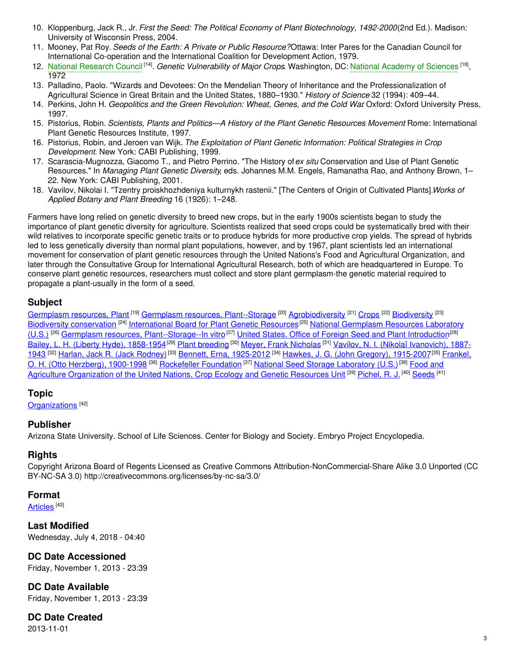- 10. Kloppenburg, Jack R., Jr. *First the Seed: The Political Economy of Plant Biotechnology, 1492-2000*(2nd Ed.). Madison: University of Wisconsin Press, 2004.
- 11. Mooney, Pat Roy. *Seeds of the Earth: A Private or Public Resource?*Ottawa: Inter Pares for the Canadian Council for International Co-operation and the International Coalition for Development Action, 1979.
- 12. National [Research](https://embryo.asu.edu/search?text=National%20Research%20Council) Council<sup>[14]</sup>. Genetic Vulnerability of Major Crops Washington, DC: National [Academy](https://embryo.asu.edu/search?text=National%20Academy%20of%20Sciences) of Sciences <sup>[18]</sup>, 1972
- 13. Palladino, Paolo. "Wizards and Devotees: On the Mendelian Theory of Inheritance and the Professionalization of Agricultural Science in Great Britain and the United States, 1880–1930." *History of Science* 32 (1994): 409–44.
- 14. Perkins, John H. *Geopolitics and the Green Revolution: Wheat, Genes, and the Cold War*. Oxford: Oxford University Press, 1997.
- 15. Pistorius, Robin. *Scientists, Plants and Politics—A History of the Plant Genetic Resources Movemen*.*t* Rome: International Plant Genetic Resources Institute, 1997.
- 16. Pistorius, Robin, and Jeroen van Wijk. *The Exploitation of Plant Genetic Information: Political Strategies in Crop Development*. New York: CABI Publishing, 1999.
- 17. Scarascia-Mugnozza, Giacomo T., and Pietro Perrino. "The History of*ex situ* Conservation and Use of Plant Genetic Resources." In *Managing Plant Genetic Diversity*, eds. Johannes M.M. Engels, Ramanatha Rao, and Anthony Brown, 1– 22. New York: CABI Publishing, 2001.
- 18. Vavilov, Nikolai I. "Tzentry proiskhozhdeniya kulturnykh rastenii." [The Centers of Origin of Cultivated Plants].*Works of Applied Botany and Plant Breeding* 16 (1926): 1–248.

Farmers have long relied on genetic diversity to breed new crops, but in the early 1900s scientists began to study the importance of plant genetic diversity for agriculture. Scientists realized that seed crops could be systematically bred with their wild relatives to incorporate specific genetic traits or to produce hybrids for more productive crop yields. The spread of hybrids led to less genetically diversity than normal plant populations, however, and by 1967, plant scientists led an international movement for conservation of plant genetic resources through the United Nations's Food and Agricultural Organization, and later through the Consultative Group for International Agricultural Research, both of which are headquartered in Europe. To conserve plant genetic resources, researchers must collect and store plant germplasm-the genetic material required to propagate a plant-usually in the form of a seed.

#### **Subject**

[Germplasm](https://embryo.asu.edu/library-congress-subject-headings/germplasm-resources-plant) resources, Plant <sup>[19]</sup> Germplasm resources, [Plant--Storage](https://embryo.asu.edu/library-congress-subject-headings/germplasm-resources-plant-storage) <sup>[20]</sup> [Agrobiodiversity](https://embryo.asu.edu/library-congress-subject-headings/agrobiodiversity) <sup>[21]</sup> [Crops](https://embryo.asu.edu/library-congress-subject-headings/crops) <sup>[22]</sup> [Biodiversity](https://embryo.asu.edu/library-congress-subject-headings/biodiversity) <sup>[23]</sup> Biodiversity [conservation](https://embryo.asu.edu/library-congress-subject-headings/biodiversity-conservation) <sup>[24]</sup> [International](https://embryo.asu.edu/library-congress-subject-headings/international-board-plant-genetic-resources) Board for Plant Genetic Resources<sup>[25]</sup> National Germplasm Resources Laboratory (U.S.) <sup>[26]</sup> Germplasm resources, [Plant--Storage--In](https://embryo.asu.edu/library-congress-subject-headings/national-germplasm-resources-laboratory-us) vitro<sup>[27]</sup> United States. Office of Foreign Seed and Plant [Introduction](https://embryo.asu.edu/library-congress-subject-headings/united-states-office-foreign-seed-and-plant-introduction)<sup>[28]</sup> Bailey, L. H. (Liberty Hyde), [1858-1954](https://embryo.asu.edu/library-congress-subject-headings/bailey-l-h-liberty-hyde-1858-1954)<sup>[29]</sup> Plant [breeding](https://embryo.asu.edu/library-congress-subject-headings/plant-breeding) <sup>[30]</sup> Meyer, Frank [Nicholas](https://embryo.asu.edu/library-congress-subject-headings/meyer-frank-nicholas) <sup>[31]</sup> Vavilov, N. I. (Nikolaĭ [Ivanovich\),](https://embryo.asu.edu/library-congress-subject-headings/vavilov-n-i-nikolai-ivanovich-1887-1943-0) 1887-<u>1943 [32] Harlan, Jack R. (Jack [Rodney\)](https://embryo.asu.edu/library-congress-subject-headings/harlan-jack-r-jack-rodney) [33] Bennett, Erna, [1925-2012](https://embryo.asu.edu/library-congress-subject-headings/bennett-erna-1925-2012) [34] Hawkes, J. G. (John Gregory), [1915-2007](https://embryo.asu.edu/library-congress-subject-headings/hawkes-j-g-john-gregory-1915-2007) [35] Frankel, </u> O. H. (Otto Herzberg), 1900-1998 <sup>[36]</sup> [Rockefeller](https://embryo.asu.edu/library-congress-subject-headings/rockefeller-foundation) [Foundation](https://embryo.asu.edu/library-congress-subject-headings/frankel-o-h-otto-herzberg-1900-1998) [37] National Seed Storage [Laboratory](https://embryo.asu.edu/library-congress-subject-headings/national-seed-storage-laboratory-us) (U.S.)<sup>[38]</sup> Food and Agriculture [Organization](https://embryo.asu.edu/library-congress-subject-headings/food-and-agriculture-organization-united-nations-crop-ecology-and) of the United Nations. Crop Ecology and Genetic Resources Unit<sup>[39]</sup> [Pichel,](https://embryo.asu.edu/library-congress-subject-headings/pichel-r-j) R. J.<sup>[40]</sup> [Seeds](https://embryo.asu.edu/medical-subject-headings/seeds)<sup>[41]</sup>

#### **Topic**

[Organizations](https://embryo.asu.edu/topics/organizations)<sup>[42]</sup>

#### **Publisher**

Arizona State University. School of Life Sciences. Center for Biology and Society. Embryo Project Encyclopedia.

#### **Rights**

Copyright Arizona Board of Regents Licensed as Creative Commons Attribution-NonCommercial-Share Alike 3.0 Unported (CC BY-NC-SA 3.0) http://creativecommons.org/licenses/by-nc-sa/3.0/

#### **Format**

[Articles](https://embryo.asu.edu/formats/articles) <sup>[43]</sup>

**Last Modified** Wednesday, July 4, 2018 - 04:40

#### **DC Date Accessioned**

Friday, November 1, 2013 - 23:39

**DC Date Available** Friday, November 1, 2013 - 23:39

### **DC Date Created**

2013-11-01